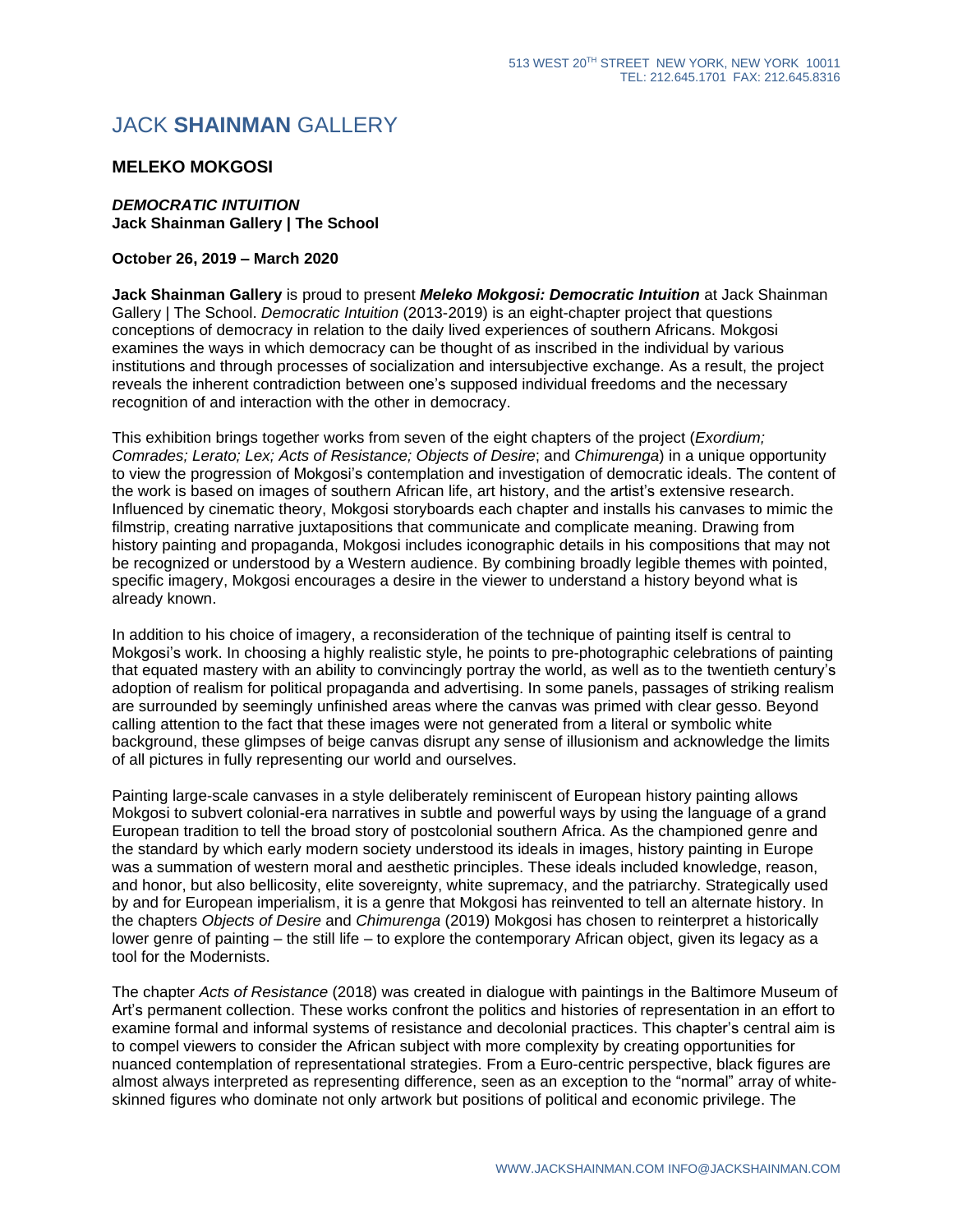## JACK **SHAINMAN** GALLERY

## **MELEKO MOKGOSI**

## *DEMOCRATIC INTUITION* **Jack Shainman Gallery | The School**

## **October 26, 2019 – March 2020**

**Jack Shainman Gallery** is proud to present *Meleko Mokgosi: Democratic Intuition* at Jack Shainman Gallery | The School. *Democratic Intuition* (2013-2019) is an eight-chapter project that questions conceptions of democracy in relation to the daily lived experiences of southern Africans. Mokgosi examines the ways in which democracy can be thought of as inscribed in the individual by various institutions and through processes of socialization and intersubjective exchange. As a result, the project reveals the inherent contradiction between one's supposed individual freedoms and the necessary recognition of and interaction with the other in democracy.

This exhibition brings together works from seven of the eight chapters of the project (*Exordium; Comrades; Lerato; Lex; Acts of Resistance; Objects of Desire*; and *Chimurenga*) in a unique opportunity to view the progression of Mokgosi's contemplation and investigation of democratic ideals. The content of the work is based on images of southern African life, art history, and the artist's extensive research. Influenced by cinematic theory, Mokgosi storyboards each chapter and installs his canvases to mimic the filmstrip, creating narrative juxtapositions that communicate and complicate meaning. Drawing from history painting and propaganda, Mokgosi includes iconographic details in his compositions that may not be recognized or understood by a Western audience. By combining broadly legible themes with pointed, specific imagery, Mokgosi encourages a desire in the viewer to understand a history beyond what is already known.

In addition to his choice of imagery, a reconsideration of the technique of painting itself is central to Mokgosi's work. In choosing a highly realistic style, he points to pre-photographic celebrations of painting that equated mastery with an ability to convincingly portray the world, as well as to the twentieth century's adoption of realism for political propaganda and advertising. In some panels, passages of striking realism are surrounded by seemingly unfinished areas where the canvas was primed with clear gesso. Beyond calling attention to the fact that these images were not generated from a literal or symbolic white background, these glimpses of beige canvas disrupt any sense of illusionism and acknowledge the limits of all pictures in fully representing our world and ourselves.

Painting large-scale canvases in a style deliberately reminiscent of European history painting allows Mokgosi to subvert colonial-era narratives in subtle and powerful ways by using the language of a grand European tradition to tell the broad story of postcolonial southern Africa. As the championed genre and the standard by which early modern society understood its ideals in images, history painting in Europe was a summation of western moral and aesthetic principles. These ideals included knowledge, reason, and honor, but also bellicosity, elite sovereignty, white supremacy, and the patriarchy. Strategically used by and for European imperialism, it is a genre that Mokgosi has reinvented to tell an alternate history. In the chapters *Objects of Desire* and *Chimurenga* (2019) Mokgosi has chosen to reinterpret a historically lower genre of painting – the still life – to explore the contemporary African object, given its legacy as a tool for the Modernists.

The chapter *Acts of Resistance* (2018) was created in dialogue with paintings in the Baltimore Museum of Art's permanent collection. These works confront the politics and histories of representation in an effort to examine formal and informal systems of resistance and decolonial practices. This chapter's central aim is to compel viewers to consider the African subject with more complexity by creating opportunities for nuanced contemplation of representational strategies. From a Euro-centric perspective, black figures are almost always interpreted as representing difference, seen as an exception to the "normal" array of whiteskinned figures who dominate not only artwork but positions of political and economic privilege. The